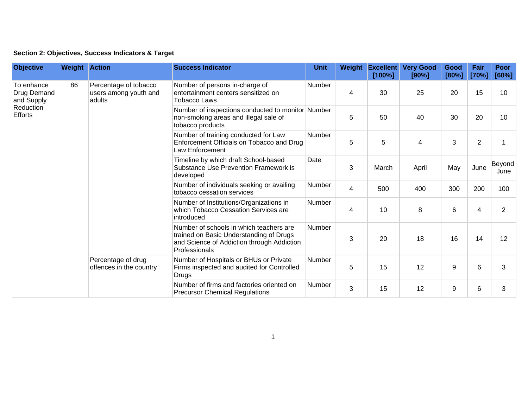## **Section 2: Objectives, Success Indicators & Target**

| <b>Objective</b>                                                       | <b>Weight Action</b> |                                                          | <b>Success Indicator</b>                                                                                                                          | <b>Unit</b>   | Weight | <b>Excellent</b><br>[100%] | <b>Very Good</b><br>[90%] | Good<br>[80%] | Fair<br>[70%]  | <b>Poor</b><br>[60%] |
|------------------------------------------------------------------------|----------------------|----------------------------------------------------------|---------------------------------------------------------------------------------------------------------------------------------------------------|---------------|--------|----------------------------|---------------------------|---------------|----------------|----------------------|
| To enhance<br>Drug Demand<br>and Supply<br>Reduction<br><b>Efforts</b> | 86                   | Percentage of tobacco<br>users among youth and<br>adults | Number of persons in-charge of<br>entertainment centers sensitized on<br>Tobacco Laws                                                             | Number        | 4      | 30                         | 25                        | 20            | 15             | 10                   |
|                                                                        |                      |                                                          | Number of inspections conducted to monitor Number<br>non-smoking areas and illegal sale of<br>tobacco products                                    |               | 5      | 50                         | 40                        | 30            | 20             | 10                   |
|                                                                        |                      |                                                          | Number of training conducted for Law<br>Enforcement Officials on Tobacco and Drug<br>Law Enforcement                                              | Number        | 5      | 5                          | $\overline{\mathbf{4}}$   | 3             | $\overline{2}$ |                      |
|                                                                        |                      |                                                          | Timeline by which draft School-based<br>Substance Use Prevention Framework is<br>developed                                                        | Date          | 3      | March                      | April                     | May           | June           | Beyond<br>June       |
|                                                                        |                      |                                                          | Number of individuals seeking or availing<br>tobacco cessation services                                                                           | Number        | 4      | 500                        | 400                       | 300           | 200            | 100                  |
|                                                                        |                      |                                                          | Number of Institutions/Organizations in<br>which Tobacco Cessation Services are<br>introduced                                                     | Number        | 4      | 10                         | 8                         | 6             | 4              | $\overline{2}$       |
|                                                                        |                      |                                                          | Number of schools in which teachers are<br>trained on Basic Understanding of Drugs<br>and Science of Addiction through Addiction<br>Professionals | <b>Number</b> | 3      | 20                         | 18                        | 16            | 14             | 12                   |
|                                                                        |                      | Percentage of drug<br>offences in the country            | Number of Hospitals or BHUs or Private<br>Firms inspected and audited for Controlled<br><b>Drugs</b>                                              | Number        | 5      | 15                         | 12                        | 9             | 6              | 3                    |
|                                                                        |                      |                                                          | Number of firms and factories oriented on<br><b>Precursor Chemical Regulations</b>                                                                | Number        | 3      | 15                         | 12                        | 9             | 6              | 3                    |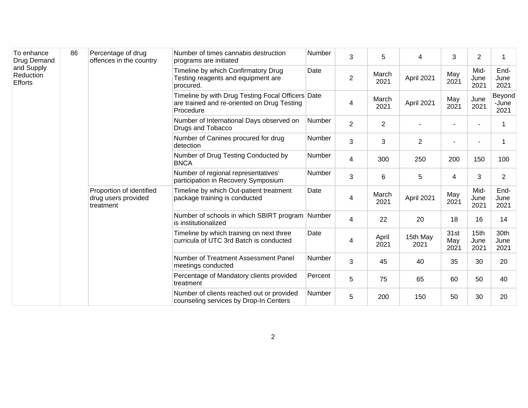| To enhance<br>Drug Demand<br>and Supply<br>Reduction<br><b>Efforts</b> | 86 | Percentage of drug<br>offences in the country                | Number of times cannabis destruction<br>programs are initiated                                                | Number        | 3              | 5              | 4                | 3                   | $\overline{2}$       |                         |
|------------------------------------------------------------------------|----|--------------------------------------------------------------|---------------------------------------------------------------------------------------------------------------|---------------|----------------|----------------|------------------|---------------------|----------------------|-------------------------|
|                                                                        |    |                                                              | Timeline by which Confirmatory Drug<br>Testing reagents and equipment are<br>procured.                        | Date          | $\overline{2}$ | March<br>2021  | April 2021       | May<br>2021         | Mid-<br>June<br>2021 | End-<br>June<br>2021    |
|                                                                        |    |                                                              | Timeline by with Drug Testing Focal Officers Date<br>are trained and re-oriented on Drug Testing<br>Procedure |               | 4              | March<br>2021  | April 2021       | May<br>2021         | June<br>2021         | Beyond<br>-June<br>2021 |
|                                                                        |    |                                                              | Number of International Days observed on<br>Drugs and Tobacco                                                 | Number        | $\overline{2}$ | $\overline{2}$ |                  |                     |                      |                         |
|                                                                        |    |                                                              | Number of Canines procured for drug<br>detection                                                              | Number        | 3              | 3              | $\overline{2}$   | $\blacksquare$      |                      |                         |
|                                                                        |    |                                                              | Number of Drug Testing Conducted by<br><b>BNCA</b>                                                            | Number        | 4              | 300            | 250              | 200                 | 150                  | 100                     |
|                                                                        |    |                                                              | Number of regional representatives'<br>participation in Recovery Symposium                                    | Number        | 3              | 6              | 5                | 4                   | 3                    | $\overline{2}$          |
|                                                                        |    | Proportion of identified<br>drug users provided<br>treatment | Timeline by which Out-patient treatment<br>package training is conducted                                      | Date          | 4              | March<br>2021  | April 2021       | May<br>2021         | Mid-<br>June<br>2021 | End-<br>June<br>2021    |
|                                                                        |    |                                                              | Number of schools in which SBIRT program Number<br>is institutionalized                                       |               | 4              | 22             | 20               | 18                  | 16                   | 14                      |
|                                                                        |    |                                                              | Timeline by which training on next three<br>curricula of UTC 3rd Batch is conducted                           | Date          | 4              | April<br>2021  | 15th May<br>2021 | 31st<br>May<br>2021 | 15th<br>June<br>2021 | 30th<br>June<br>2021    |
|                                                                        |    |                                                              | Number of Treatment Assessment Panel<br>meetings conducted                                                    | <b>Number</b> | 3              | 45             | 40               | 35                  | 30                   | 20                      |
|                                                                        |    |                                                              | Percentage of Mandatory clients provided<br>treatment                                                         | Percent       | 5              | 75             | 65               | 60                  | 50                   | 40                      |
|                                                                        |    |                                                              | Number of clients reached out or provided<br>counseling services by Drop-In Centers                           | Number        | 5              | 200            | 150              | 50                  | 30                   | 20                      |